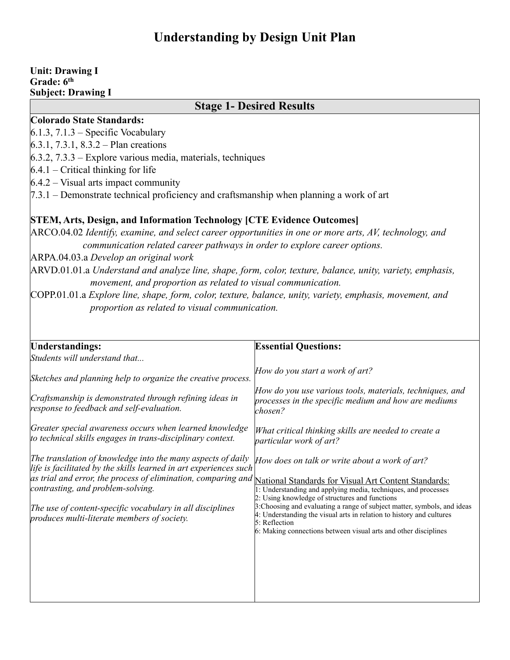# **Understanding by Design Unit Plan**

#### **Unit: Drawing I Grade: 6th Subject: Drawing I**

## **Stage 1- Desired Results**

### **Colorado State Standards:**

 $6.1.3$ ,  $7.1.3$  – Specific Vocabulary

6.3.1, 7.3.1, 8.3.2 – Plan creations

6.3.2, 7.3.3 – Explore various media, materials, techniques

 $6.4.1$  – Critical thinking for life

 $6.4.2$  – Visual arts impact community

7.3.1 – Demonstrate technical proficiency and craftsmanship when planning a work of art

### **STEM, Arts, Design, and Information Technology [CTE Evidence Outcomes]**

ARCO.04.02 *Identify, examine, and select career opportunities in one or more arts, AV, technology, and communication related career pathways in order to explore career options.*

ARPA.04.03.a *Develop an original work*

ARVD.01.01.a *Understand and analyze line, shape, form, color, texture, balance, unity, variety, emphasis, movement, and proportion as related to visual communication.*

COPP.01.01.a *Explore line, shape, form, color, texture, balance, unity, variety, emphasis, movement, and proportion as related to visual communication.*

| Understandings:                                                                                                                                                                                                                                                                                                                                                                                         | <b>Essential Questions:</b>                                                                                                                                                                                                                                                                                                                                                                                |
|---------------------------------------------------------------------------------------------------------------------------------------------------------------------------------------------------------------------------------------------------------------------------------------------------------------------------------------------------------------------------------------------------------|------------------------------------------------------------------------------------------------------------------------------------------------------------------------------------------------------------------------------------------------------------------------------------------------------------------------------------------------------------------------------------------------------------|
| Students will understand that                                                                                                                                                                                                                                                                                                                                                                           |                                                                                                                                                                                                                                                                                                                                                                                                            |
| Sketches and planning help to organize the creative process.                                                                                                                                                                                                                                                                                                                                            | How do you start a work of art?                                                                                                                                                                                                                                                                                                                                                                            |
| Craftsmanship is demonstrated through refining ideas in<br>response to feedback and self-evaluation.                                                                                                                                                                                                                                                                                                    | How do you use various tools, materials, techniques, and<br>processes in the specific medium and how are mediums<br>chosen?                                                                                                                                                                                                                                                                                |
| Greater special awareness occurs when learned knowledge<br>to technical skills engages in trans-disciplinary context.                                                                                                                                                                                                                                                                                   | What critical thinking skills are needed to create a<br>particular work of art?                                                                                                                                                                                                                                                                                                                            |
| The translation of knowledge into the many aspects of daily<br>life is facilitated by the skills learned in art experiences such<br>as trial and error, the process of elimination, comparing and National Standards for Visual Art Content Standards:<br>contrasting, and problem-solving.<br>The use of content-specific vocabulary in all disciplines<br>produces multi-literate members of society. | How does on talk or write about a work of art?<br>1: Understanding and applying media, techniques, and processes<br>2: Using knowledge of structures and functions<br>3: Choosing and evaluating a range of subject matter, symbols, and ideas<br>4: Understanding the visual arts in relation to history and cultures<br>5: Reflection<br>6: Making connections between visual arts and other disciplines |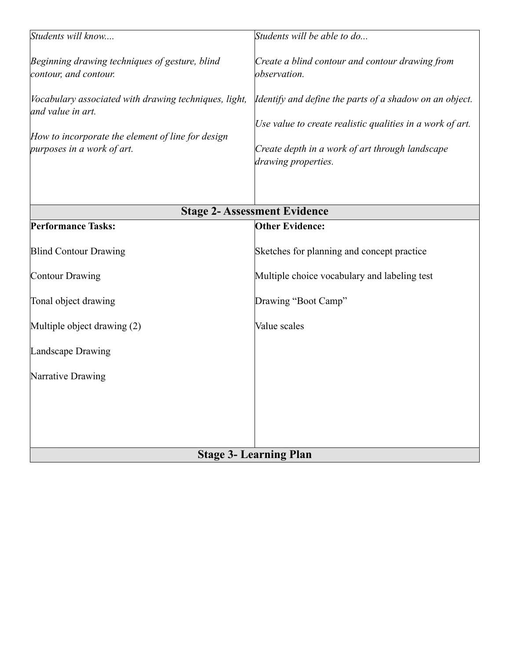| Students will know                                                         | Students will be able to do                                            |
|----------------------------------------------------------------------------|------------------------------------------------------------------------|
| Beginning drawing techniques of gesture, blind<br>contour, and contour.    | Create a blind contour and contour drawing from<br>observation.        |
| Vocabulary associated with drawing techniques, light,<br>and value in art. | Identify and define the parts of a shadow on an object.                |
| How to incorporate the element of line for design                          | Use value to create realistic qualities in a work of art.              |
| purposes in a work of art.                                                 | Create depth in a work of art through landscape<br>drawing properties. |
|                                                                            | <b>Stage 2- Assessment Evidence</b>                                    |
| <b>Performance Tasks:</b>                                                  | <b>Other Evidence:</b>                                                 |
| <b>Blind Contour Drawing</b>                                               | Sketches for planning and concept practice                             |
| Contour Drawing                                                            | Multiple choice vocabulary and labeling test                           |
| Tonal object drawing                                                       | Drawing "Boot Camp"                                                    |
| Multiple object drawing (2)                                                | Value scales                                                           |
| Landscape Drawing                                                          |                                                                        |
| Narrative Drawing                                                          |                                                                        |
|                                                                            |                                                                        |
|                                                                            |                                                                        |
| <b>Stage 3- Learning Plan</b>                                              |                                                                        |